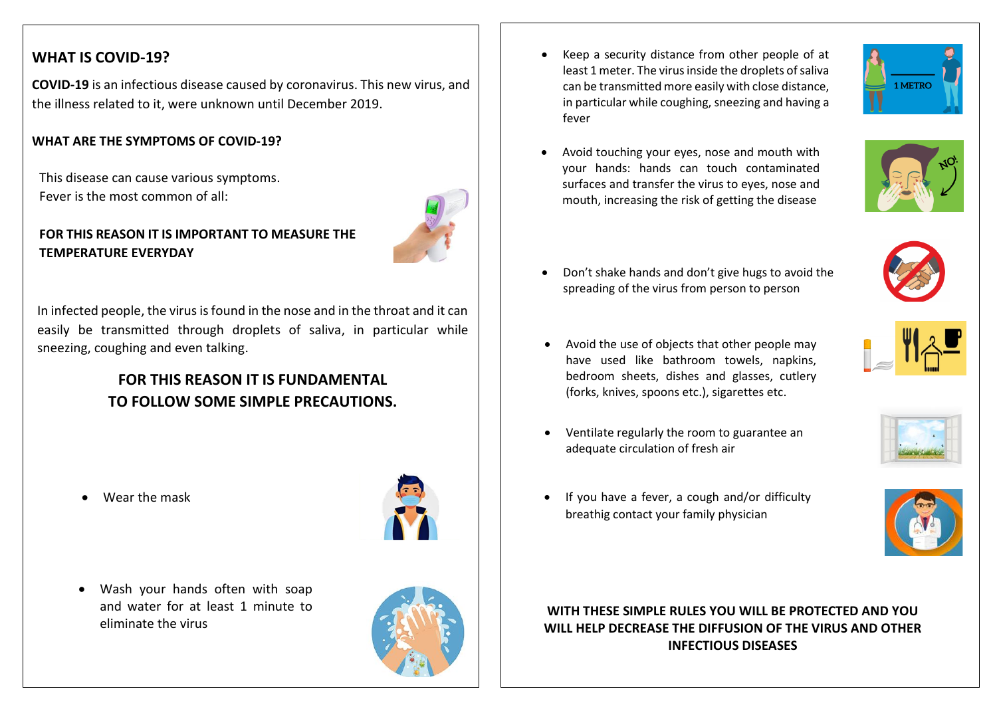## **WHAT IS COVID-19?**

 **COVID-19** is an infectious disease caused by coronavirus. This new virus, and the illness related to it, were unknown until December 2019.

### **WHAT ARE THE SYMPTOMS OF COVID-19?**

This disease can cause various symptoms. Fever is the most common of all:



 easily be transmitted through droplets of saliva, in particular while In infected people, the virus is found in the nose and in the throat and it can sneezing, coughing and even talking.

# **FOR THIS REASON IT IS FUNDAMENTAL TO FOLLOW SOME SIMPLE PRECAUTIONS.**

Wear the mask



 Wash your hands often with soap and water for at least 1 minute to eliminate the virus



 Keep a security distance from other people of at least 1 meter. The virus inside the droplets of saliva can be transmitted more easily with close distance, in particular while coughing, sneezing and having a fever

j



 Avoid touching your eyes, nose and mouth with your hands: hands can touch contaminated surfaces and transfer the virus to eyes, nose and mouth, increasing the risk of getting the disease



- Don't shake hands and don't give hugs to avoid the spreading of the virus from person to person
- Avoid the use of objects that other people may have used like bathroom towels, napkins, bedroom sheets, dishes and glasses, cutlery (forks, knives, spoons etc.), sigarettes etc.
- Ventilate regularly the room to guarantee an adequate circulation of fresh air



• If you have a fever, a cough and/or difficulty breathig contact your family physician



## **WITH THESE SIMPLE RULES YOU WILL BE PROTECTED AND YOU WILL HELP DECREASE THE DIFFUSION OF THE VIRUS AND OTHER INFECTIOUS DISEASES**